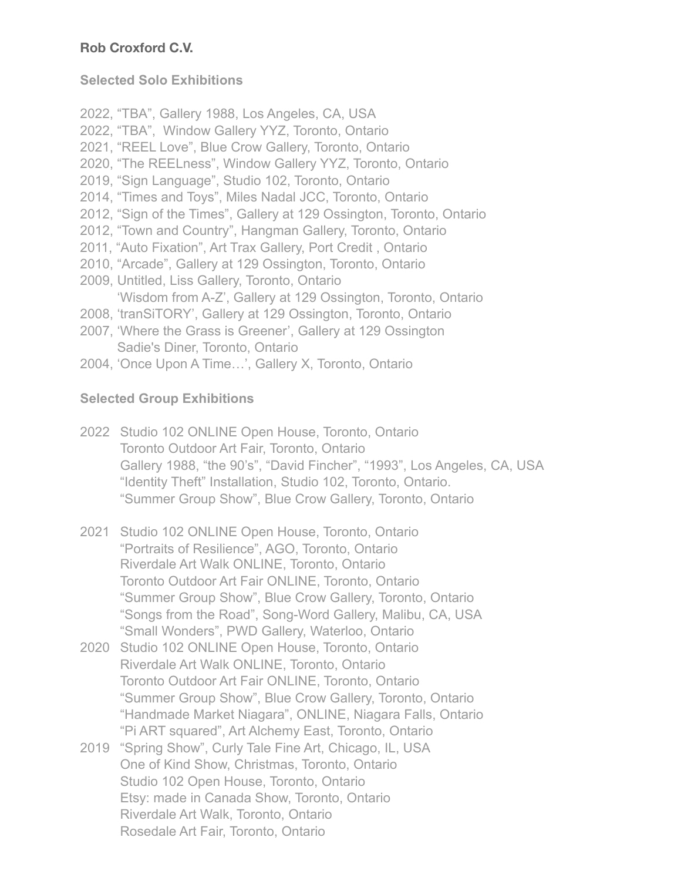# **Rob Croxford C.V.**

# **Selected Solo Exhibitions**

2022, "TBA", Gallery 1988, Los Angeles, CA, USA 2022, "TBA", Window Gallery YYZ, Toronto, Ontario 2021, "REEL Love", Blue Crow Gallery, Toronto, Ontario 2020, "The REELness", Window Gallery YYZ, Toronto, Ontario 2019, "Sign Language", Studio 102, Toronto, Ontario 2014, "Times and Toys", Miles Nadal JCC, Toronto, Ontario 2012, "Sign of the Times", Gallery at 129 Ossington, Toronto, Ontario 2012, "Town and Country", Hangman Gallery, Toronto, Ontario 2011, "Auto Fixation", Art Trax Gallery, Port Credit , Ontario 2010, "Arcade", Gallery at 129 Ossington, Toronto, Ontario 2009, Untitled, Liss Gallery, Toronto, Ontario 'Wisdom from A-Z', Gallery at 129 Ossington, Toronto, Ontario 2008, 'tranSiTORY', Gallery at 129 Ossington, Toronto, Ontario 2007, 'Where the Grass is Greener', Gallery at 129 Ossington Sadie's Diner, Toronto, Ontario

2004, 'Once Upon A Time…', Gallery X, Toronto, Ontario

# **Selected Group Exhibitions**

- 2022 Studio 102 ONLINE Open House, Toronto, Ontario Toronto Outdoor Art Fair, Toronto, Ontario Gallery 1988, "the 90's", "David Fincher", "1993", Los Angeles, CA, USA "Identity Theft" Installation, Studio 102, Toronto, Ontario. "Summer Group Show", Blue Crow Gallery, Toronto, Ontario
- 2021 Studio 102 ONLINE Open House, Toronto, Ontario "Portraits of Resilience", AGO, Toronto, Ontario Riverdale Art Walk ONLINE, Toronto, Ontario Toronto Outdoor Art Fair ONLINE, Toronto, Ontario "Summer Group Show", Blue Crow Gallery, Toronto, Ontario "Songs from the Road", Song-Word Gallery, Malibu, CA, USA "Small Wonders", PWD Gallery, Waterloo, Ontario
- 2020 Studio 102 ONLINE Open House, Toronto, Ontario Riverdale Art Walk ONLINE, Toronto, Ontario Toronto Outdoor Art Fair ONLINE, Toronto, Ontario "Summer Group Show", Blue Crow Gallery, Toronto, Ontario "Handmade Market Niagara", ONLINE, Niagara Falls, Ontario "Pi ART squared", Art Alchemy East, Toronto, Ontario
- 2019 "Spring Show", Curly Tale Fine Art, Chicago, IL, USA One of Kind Show, Christmas, Toronto, Ontario Studio 102 Open House, Toronto, Ontario Etsy: made in Canada Show, Toronto, Ontario Riverdale Art Walk, Toronto, Ontario Rosedale Art Fair, Toronto, Ontario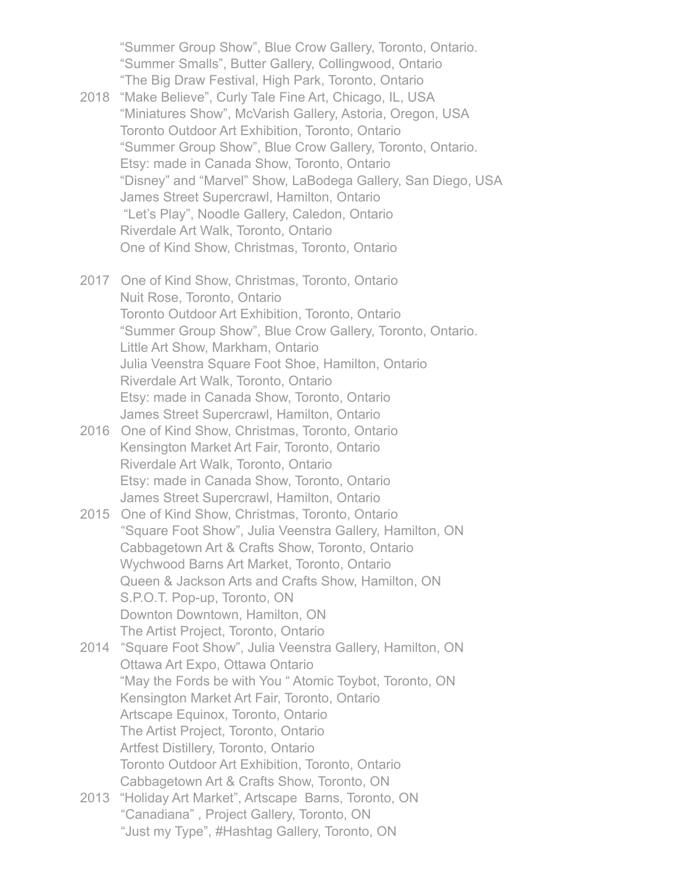"Summer Group Show", Blue Crow Gallery, Toronto, Ontario. "Summer Smalls", Butter Gallery, Collingwood, Ontario "The Big Draw Festival, High Park, Toronto, Ontario

- 2018 "Make Believe", Curly Tale Fine Art, Chicago, IL, USA "Miniatures Show", McVarish Gallery, Astoria, Oregon, USA Toronto Outdoor Art Exhibition, Toronto, Ontario "Summer Group Show", Blue Crow Gallery, Toronto, Ontario. Etsy: made in Canada Show, Toronto, Ontario "Disney" and "Marvel" Show, LaBodega Gallery, San Diego, USA James Street Supercrawl, Hamilton, Ontario "Let's Play", Noodle Gallery, Caledon, Ontario Riverdale Art Walk, Toronto, Ontario One of Kind Show, Christmas, Toronto, Ontario
- 2017 One of Kind Show, Christmas, Toronto, Ontario Nuit Rose, Toronto, Ontario Toronto Outdoor Art Exhibition, Toronto, Ontario "Summer Group Show", Blue Crow Gallery, Toronto, Ontario. Little Art Show, Markham, Ontario Julia Veenstra Square Foot Shoe, Hamilton, Ontario Riverdale Art Walk, Toronto, Ontario Etsy: made in Canada Show, Toronto, Ontario James Street Supercrawl, Hamilton, Ontario
- 2016 One of Kind Show, Christmas, Toronto, Ontario Kensington Market Art Fair, Toronto, Ontario Riverdale Art Walk, Toronto, Ontario Etsy: made in Canada Show, Toronto, Ontario James Street Supercrawl, Hamilton, Ontario
- 2015 One of Kind Show, Christmas, Toronto, Ontario "Square Foot Show", Julia Veenstra Gallery, Hamilton, ON Cabbagetown Art & Crafts Show, Toronto, Ontario Wychwood Barns Art Market, Toronto, Ontario Queen & Jackson Arts and Crafts Show, Hamilton, ON S.P.O.T. Pop-up, Toronto, ON Downton Downtown, Hamilton, ON The Artist Project, Toronto, Ontario
- 2014 "Square Foot Show", Julia Veenstra Gallery, Hamilton, ON Ottawa Art Expo, Ottawa Ontario "May the Fords be with You " Atomic Toybot, Toronto, ON Kensington Market Art Fair, Toronto, Ontario Artscape Equinox, Toronto, Ontario The Artist Project, Toronto, Ontario Artfest Distillery, Toronto, Ontario Toronto Outdoor Art Exhibition, Toronto, Ontario Cabbagetown Art & Crafts Show, Toronto, ON
- 2013 "Holiday Art Market", Artscape Barns, Toronto, ON "Canadiana" , Project Gallery, Toronto, ON "Just my Type", #Hashtag Gallery, Toronto, ON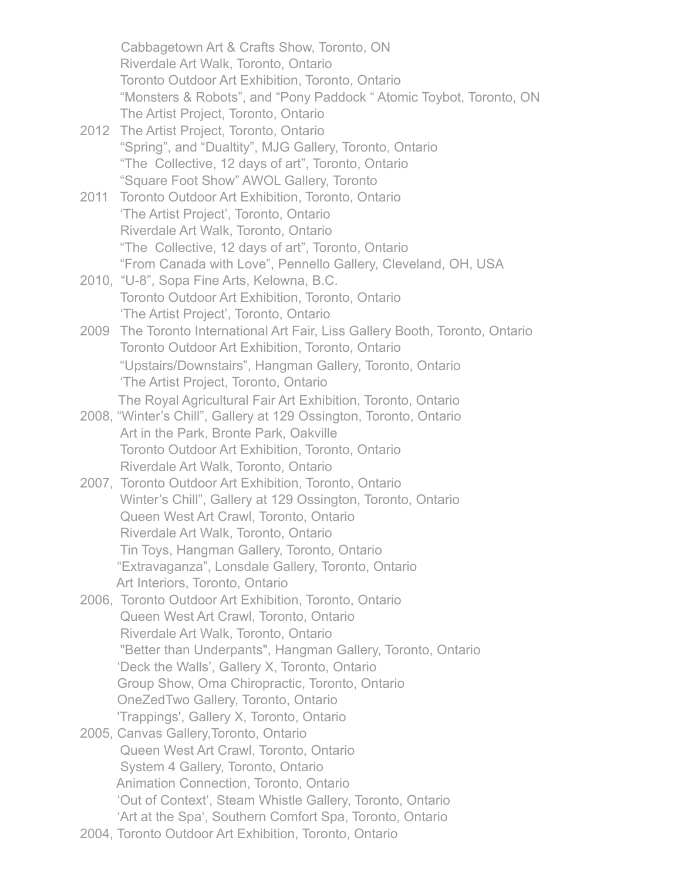Cabbagetown Art & Crafts Show, Toronto, ON Riverdale Art Walk, Toronto, Ontario Toronto Outdoor Art Exhibition, Toronto, Ontario "Monsters & Robots", and "Pony Paddock " Atomic Toybot, Toronto, ON The Artist Project, Toronto, Ontario 2012 The Artist Project, Toronto, Ontario "Spring", and "Dualtity", MJG Gallery, Toronto, Ontario "The Collective, 12 days of art", Toronto, Ontario "Square Foot Show" AWOL Gallery, Toronto 2011 Toronto Outdoor Art Exhibition, Toronto, Ontario 'The Artist Project', Toronto, Ontario Riverdale Art Walk, Toronto, Ontario "The Collective, 12 days of art", Toronto, Ontario "From Canada with Love", Pennello Gallery, Cleveland, OH, USA 2010, "U-8", Sopa Fine Arts, Kelowna, B.C. Toronto Outdoor Art Exhibition, Toronto, Ontario 'The Artist Project', Toronto, Ontario 2009 The Toronto International Art Fair, Liss Gallery Booth, Toronto, Ontario Toronto Outdoor Art Exhibition, Toronto, Ontario "Upstairs/Downstairs", Hangman Gallery, Toronto, Ontario 'The Artist Project, Toronto, Ontario The Royal Agricultural Fair Art Exhibition, Toronto, Ontario 2008, "Winter's Chill", Gallery at 129 Ossington, Toronto, Ontario Art in the Park, Bronte Park, Oakville Toronto Outdoor Art Exhibition, Toronto, Ontario Riverdale Art Walk, Toronto, Ontario 2007, Toronto Outdoor Art Exhibition, Toronto, Ontario Winter's Chill", Gallery at 129 Ossington, Toronto, Ontario Queen West Art Crawl, Toronto, Ontario Riverdale Art Walk, Toronto, Ontario Tin Toys, Hangman Gallery, Toronto, Ontario "Extravaganza", Lonsdale Gallery, Toronto, Ontario Art Interiors, Toronto, Ontario 2006, Toronto Outdoor Art Exhibition, Toronto, Ontario Queen West Art Crawl, Toronto, Ontario Riverdale Art Walk, Toronto, Ontario "Better than Underpants", Hangman Gallery, Toronto, Ontario 'Deck the Walls', Gallery X, Toronto, Ontario Group Show, Oma Chiropractic, Toronto, Ontario OneZedTwo Gallery, Toronto, Ontario 'Trappings', Gallery X, Toronto, Ontario 2005, Canvas Gallery,Toronto, Ontario Queen West Art Crawl, Toronto, Ontario System 4 Gallery, Toronto, Ontario Animation Connection, Toronto, Ontario 'Out of Context', Steam Whistle Gallery, Toronto, Ontario 'Art at the Spa', Southern Comfort Spa, Toronto, Ontario 2004, Toronto Outdoor Art Exhibition, Toronto, Ontario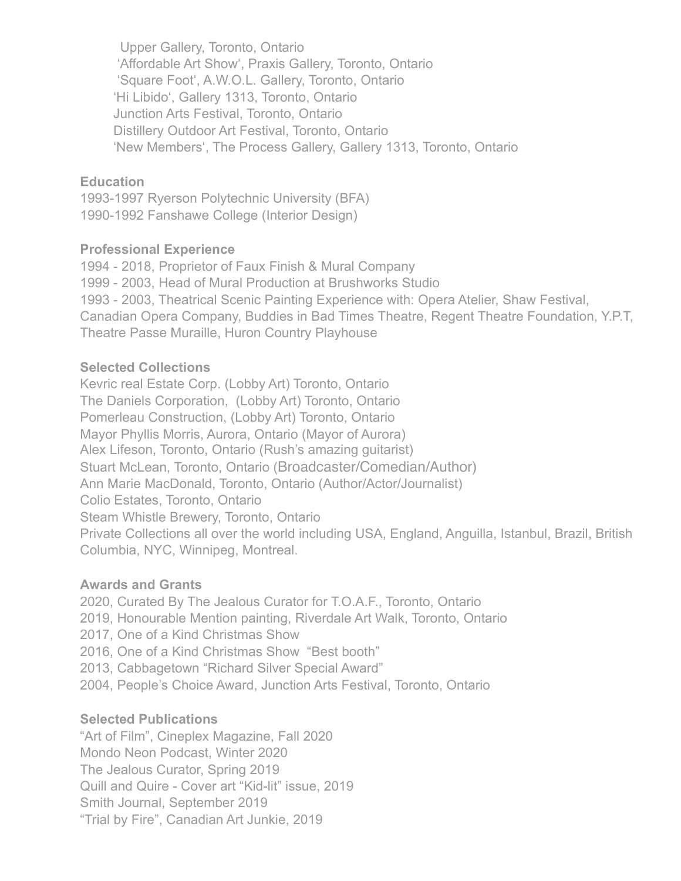Upper Gallery, Toronto, Ontario 'Affordable Art Show', Praxis Gallery, Toronto, Ontario 'Square Foot', A.W.O.L. Gallery, Toronto, Ontario 'Hi Libido', Gallery 1313, Toronto, Ontario Junction Arts Festival, Toronto, Ontario Distillery Outdoor Art Festival, Toronto, Ontario 'New Members', The Process Gallery, Gallery 1313, Toronto, Ontario

### **Education**

1993-1997 Ryerson Polytechnic University (BFA) 1990-1992 Fanshawe College (Interior Design)

### **Professional Experience**

1994 - 2018, Proprietor of Faux Finish & Mural Company 1999 - 2003, Head of Mural Production at Brushworks Studio 1993 - 2003, Theatrical Scenic Painting Experience with: Opera Atelier, Shaw Festival, Canadian Opera Company, Buddies in Bad Times Theatre, Regent Theatre Foundation, Y.P.T, Theatre Passe Muraille, Huron Country Playhouse

### **Selected Collections**

Kevric real Estate Corp. (Lobby Art) Toronto, Ontario The Daniels Corporation, (Lobby Art) Toronto, Ontario Pomerleau Construction, (Lobby Art) Toronto, Ontario Mayor Phyllis Morris, Aurora, Ontario (Mayor of Aurora) Alex Lifeson, Toronto, Ontario (Rush's amazing guitarist) Stuart McLean, Toronto, Ontario (Broadcaster/Comedian/Author) Ann Marie MacDonald, Toronto, Ontario (Author/Actor/Journalist) Colio Estates, Toronto, Ontario Steam Whistle Brewery, Toronto, Ontario Private Collections all over the world including USA, England, Anguilla, Istanbul, Brazil, British Columbia, NYC, Winnipeg, Montreal.

#### **Awards and Grants**

2020, Curated By The Jealous Curator for T.O.A.F., Toronto, Ontario 2019, Honourable Mention painting, Riverdale Art Walk, Toronto, Ontario 2017, One of a Kind Christmas Show 2016, One of a Kind Christmas Show "Best booth" 2013, Cabbagetown "Richard Silver Special Award" 2004, People's Choice Award, Junction Arts Festival, Toronto, Ontario

## **Selected Publications**

"Art of Film", Cineplex Magazine, Fall 2020 Mondo Neon Podcast, Winter 2020 The Jealous Curator, Spring 2019 Quill and Quire - Cover art "Kid-lit" issue, 2019 Smith Journal, September 2019 "Trial by Fire", Canadian Art Junkie, 2019